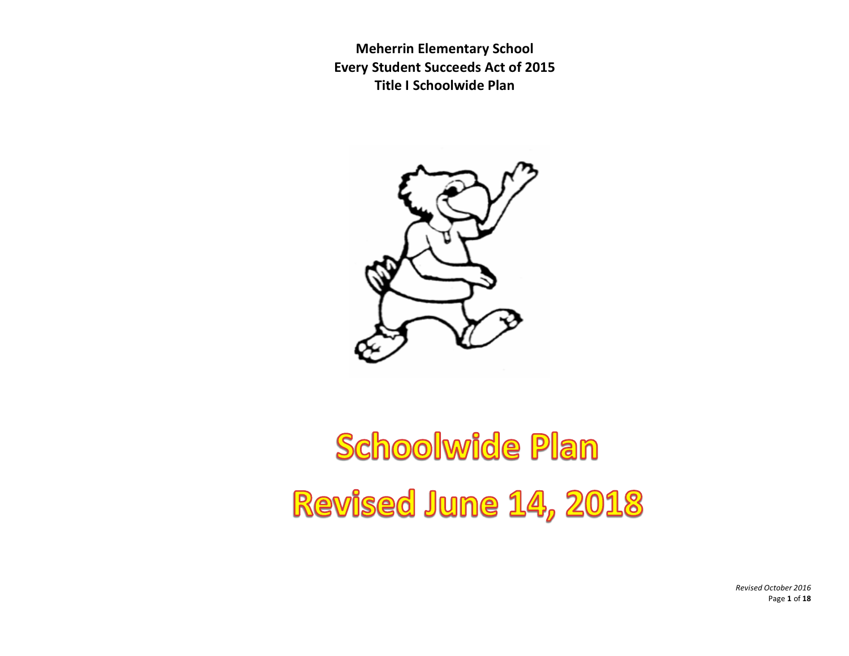

# Schoolwide Plan Revised June 14, 2018

*Revised October 2016* Page **1** of **18**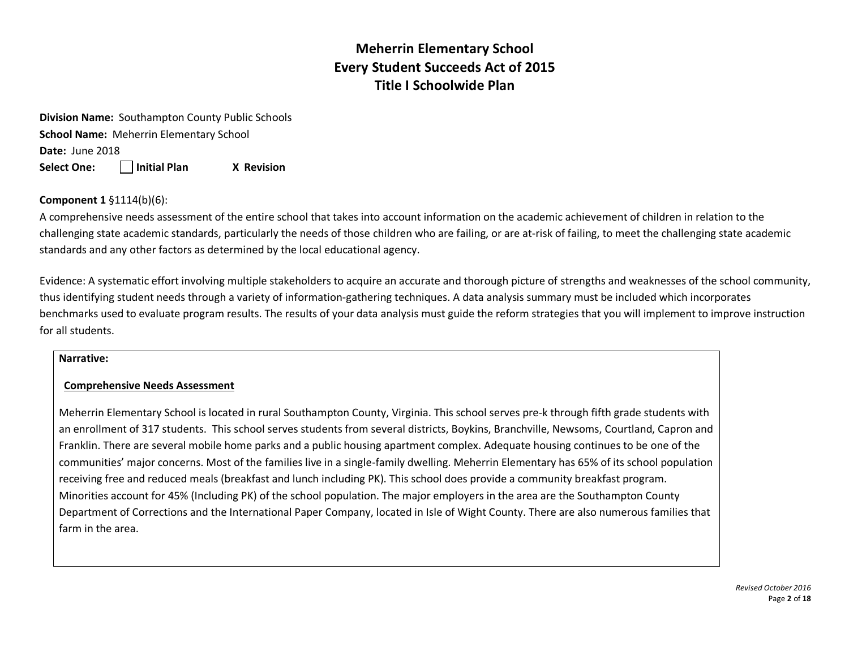**Division Name:** Southampton County Public Schools **School Name:** Meherrin Elementary School **Date:** June 2018 **Select One: Initial Plan X Revision** 

### **Component 1** §1114(b)(6):

A comprehensive needs assessment of the entire school that takes into account information on the academic achievement of children in relation to the challenging state academic standards, particularly the needs of those children who are failing, or are at-risk of failing, to meet the challenging state academic standards and any other factors as determined by the local educational agency.

Evidence: A systematic effort involving multiple stakeholders to acquire an accurate and thorough picture of strengths and weaknesses of the school community, thus identifying student needs through a variety of information-gathering techniques. A data analysis summary must be included which incorporates benchmarks used to evaluate program results. The results of your data analysis must guide the reform strategies that you will implement to improve instruction for all students.

#### **Narrative:**

#### **Comprehensive Needs Assessment**

Meherrin Elementary School is located in rural Southampton County, Virginia. This school serves pre-k through fifth grade students with an enrollment of 317 students. This school serves students from several districts, Boykins, Branchville, Newsoms, Courtland, Capron and Franklin. There are several mobile home parks and a public housing apartment complex. Adequate housing continues to be one of the communities' major concerns. Most of the families live in a single-family dwelling. Meherrin Elementary has 65% of its school population receiving free and reduced meals (breakfast and lunch including PK). This school does provide a community breakfast program. Minorities account for 45% (Including PK) of the school population. The major employers in the area are the Southampton County Department of Corrections and the International Paper Company, located in Isle of Wight County. There are also numerous families that farm in the area.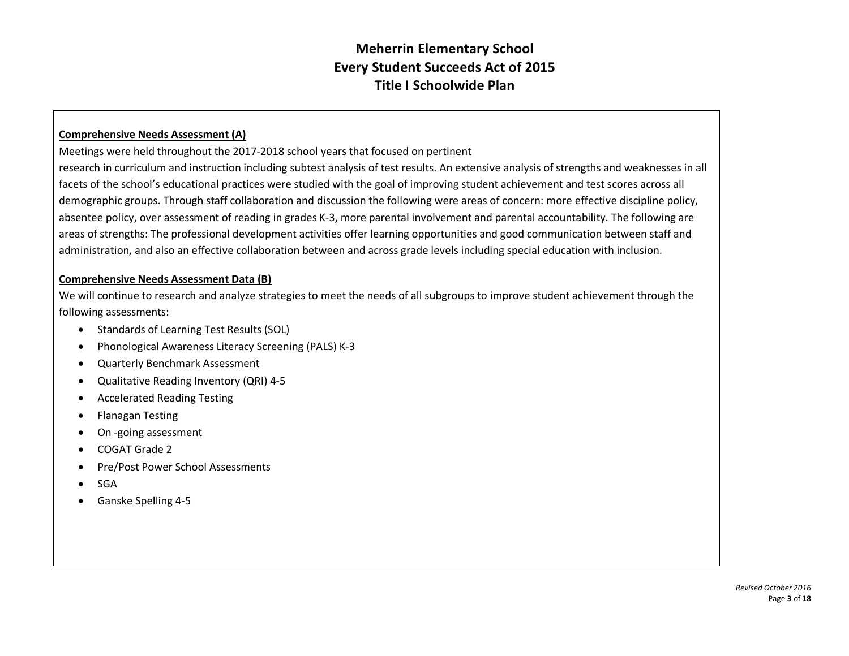## **Comprehensive Needs Assessment (A)**

Meetings were held throughout the 2017-2018 school years that focused on pertinent

research in curriculum and instruction including subtest analysis of test results. An extensive analysis of strengths and weaknesses in all facets of the school's educational practices were studied with the goal of improving student achievement and test scores across all demographic groups. Through staff collaboration and discussion the following were areas of concern: more effective discipline policy, absentee policy, over assessment of reading in grades K-3, more parental involvement and parental accountability. The following are areas of strengths: The professional development activities offer learning opportunities and good communication between staff and administration, and also an effective collaboration between and across grade levels including special education with inclusion.

#### **Comprehensive Needs Assessment Data (B)**

We will continue to research and analyze strategies to meet the needs of all subgroups to improve student achievement through the following assessments:

- Standards of Learning Test Results (SOL)
- Phonological Awareness Literacy Screening (PALS) K-3
- Quarterly Benchmark Assessment
- Qualitative Reading Inventory (QRI) 4-5
- Accelerated Reading Testing
- Flanagan Testing
- On -going assessment
- COGAT Grade 2
- Pre/Post Power School Assessments
- SGA
- Ganske Spelling 4-5

*Revised October 2016* Page **3** of **18**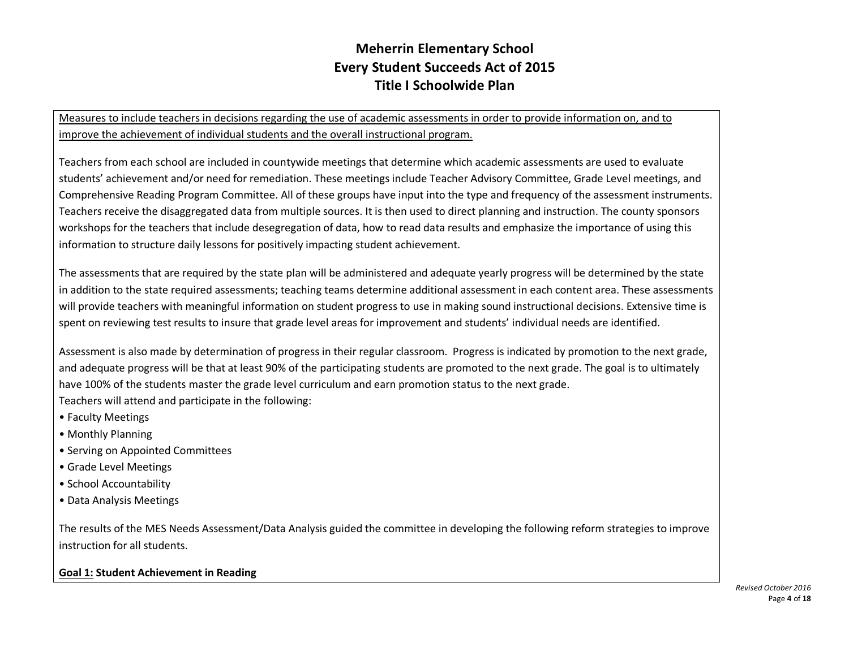Measures to include teachers in decisions regarding the use of academic assessments in order to provide information on, and to improve the achievement of individual students and the overall instructional program.

Teachers from each school are included in countywide meetings that determine which academic assessments are used to evaluate students' achievement and/or need for remediation. These meetings include Teacher Advisory Committee, Grade Level meetings, and Comprehensive Reading Program Committee. All of these groups have input into the type and frequency of the assessment instruments. Teachers receive the disaggregated data from multiple sources. It is then used to direct planning and instruction. The county sponsors workshops for the teachers that include desegregation of data, how to read data results and emphasize the importance of using this information to structure daily lessons for positively impacting student achievement.

The assessments that are required by the state plan will be administered and adequate yearly progress will be determined by the state in addition to the state required assessments; teaching teams determine additional assessment in each content area. These assessments will provide teachers with meaningful information on student progress to use in making sound instructional decisions. Extensive time is spent on reviewing test results to insure that grade level areas for improvement and students' individual needs are identified.

Assessment is also made by determination of progress in their regular classroom. Progress is indicated by promotion to the next grade, and adequate progress will be that at least 90% of the participating students are promoted to the next grade. The goal is to ultimately have 100% of the students master the grade level curriculum and earn promotion status to the next grade. Teachers will attend and participate in the following:

- Faculty Meetings
- Monthly Planning
- Serving on Appointed Committees
- Grade Level Meetings
- School Accountability
- Data Analysis Meetings

The results of the MES Needs Assessment/Data Analysis guided the committee in developing the following reform strategies to improve instruction for all students.

## **Goal 1: Student Achievement in Reading**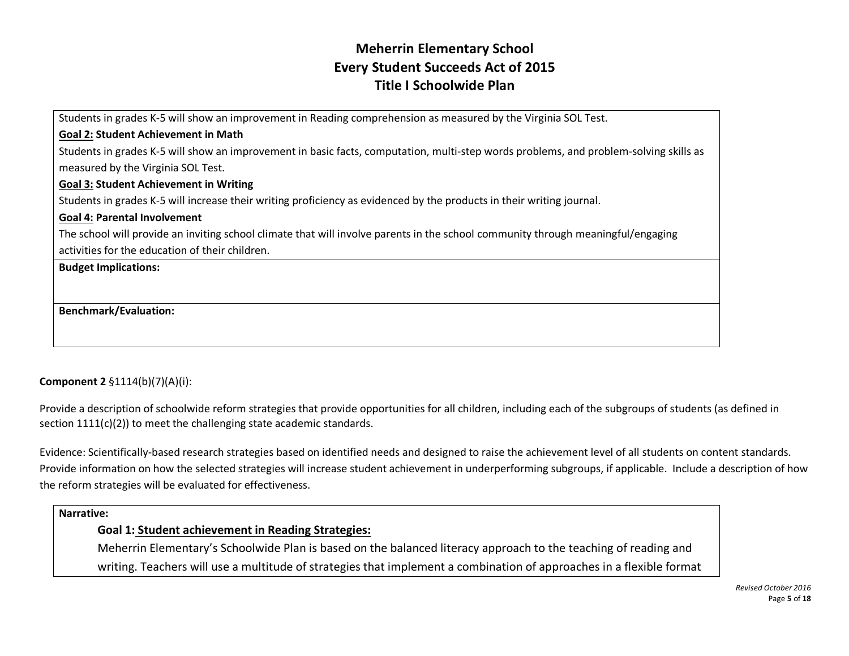Students in grades K-5 will show an improvement in Reading comprehension as measured by the Virginia SOL Test.

## **Goal 2: Student Achievement in Math**

Students in grades K-5 will show an improvement in basic facts, computation, multi-step words problems, and problem-solving skills as measured by the Virginia SOL Test.

#### **Goal 3: Student Achievement in Writing**

Students in grades K-5 will increase their writing proficiency as evidenced by the products in their writing journal.

#### **Goal 4: Parental Involvement**

The school will provide an inviting school climate that will involve parents in the school community through meaningful/engaging activities for the education of their children.

#### **Budget Implications:**

**Benchmark/Evaluation:**

## **Component 2** §1114(b)(7)(A)(i):

Provide a description of schoolwide reform strategies that provide opportunities for all children, including each of the subgroups of students (as defined in section 1111(c)(2)) to meet the challenging state academic standards.

Evidence: Scientifically-based research strategies based on identified needs and designed to raise the achievement level of all students on content standards. Provide information on how the selected strategies will increase student achievement in underperforming subgroups, if applicable. Include a description of how the reform strategies will be evaluated for effectiveness.

#### **Narrative:**

### **Goal 1: Student achievement in Reading Strategies:**

Meherrin Elementary's Schoolwide Plan is based on the balanced literacy approach to the teaching of reading and writing. Teachers will use a multitude of strategies that implement a combination of approaches in a flexible format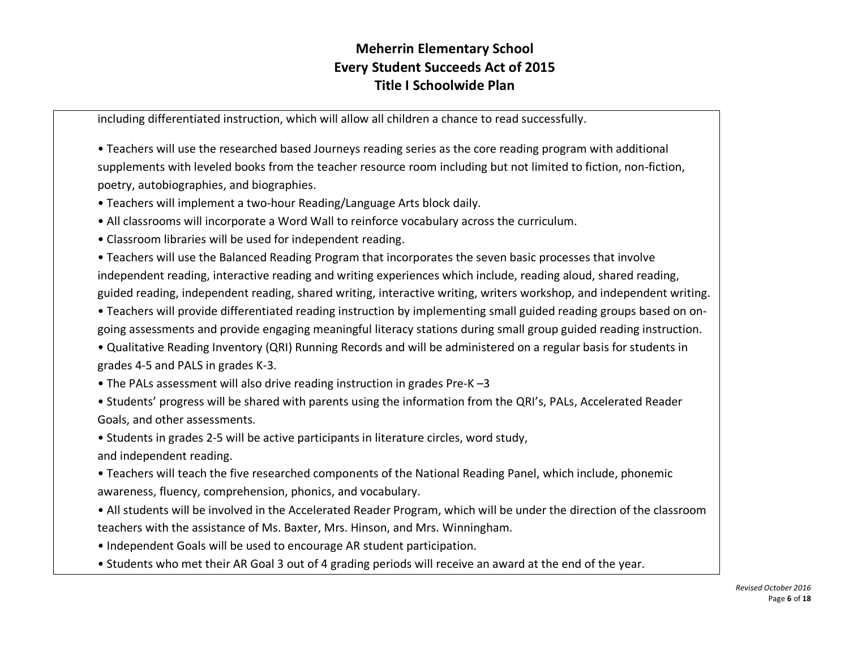including differentiated instruction, which will allow all children a chance to read successfully.

• Teachers will use the researched based Journeys reading series as the core reading program with additional supplements with leveled books from the teacher resource room including but not limited to fiction, non-fiction, poetry, autobiographies, and biographies.

• Teachers will implement a two-hour Reading/Language Arts block daily.

• All classrooms will incorporate a Word Wall to reinforce vocabulary across the curriculum.

• Classroom libraries will be used for independent reading.

• Teachers will use the Balanced Reading Program that incorporates the seven basic processes that involve independent reading, interactive reading and writing experiences which include, reading aloud, shared reading, guided reading, independent reading, shared writing, interactive writing, writers workshop, and independent writing.

• Teachers will provide differentiated reading instruction by implementing small guided reading groups based on ongoing assessments and provide engaging meaningful literacy stations during small group guided reading instruction.

• Qualitative Reading Inventory (QRI) Running Records and will be administered on a regular basis for students in grades 4-5 and PALS in grades K-3.

• The PALs assessment will also drive reading instruction in grades Pre-K –3

• Students' progress will be shared with parents using the information from the QRI's, PALs, Accelerated Reader Goals, and other assessments.

• Students in grades 2-5 will be active participants in literature circles, word study, and independent reading.

• Teachers will teach the five researched components of the National Reading Panel, which include, phonemic awareness, fluency, comprehension, phonics, and vocabulary.

• All students will be involved in the Accelerated Reader Program, which will be under the direction of the classroom teachers with the assistance of Ms. Baxter, Mrs. Hinson, and Mrs. Winningham.

• Independent Goals will be used to encourage AR student participation.

• Students who met their AR Goal 3 out of 4 grading periods will receive an award at the end of the year.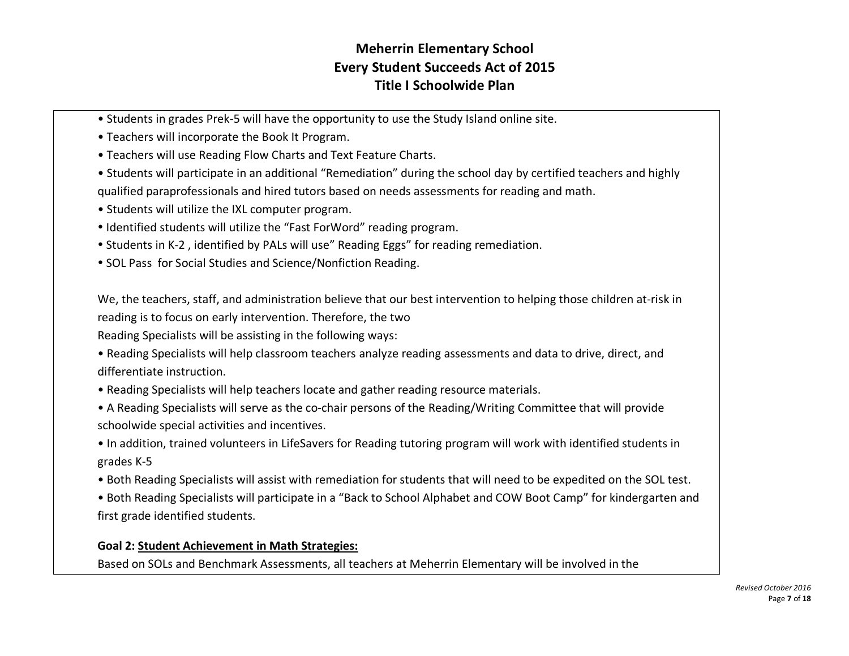- Students in grades Prek-5 will have the opportunity to use the Study Island online site.
- Teachers will incorporate the Book It Program.
- Teachers will use Reading Flow Charts and Text Feature Charts.
- Students will participate in an additional "Remediation" during the school day by certified teachers and highly qualified paraprofessionals and hired tutors based on needs assessments for reading and math.
- Students will utilize the IXL computer program.
- Identified students will utilize the "Fast ForWord" reading program.
- Students in K-2, identified by PALs will use" Reading Eggs" for reading remediation.
- SOL Pass for Social Studies and Science/Nonfiction Reading.

We, the teachers, staff, and administration believe that our best intervention to helping those children at-risk in reading is to focus on early intervention. Therefore, the two

Reading Specialists will be assisting in the following ways:

• Reading Specialists will help classroom teachers analyze reading assessments and data to drive, direct, and differentiate instruction.

- Reading Specialists will help teachers locate and gather reading resource materials.
- A Reading Specialists will serve as the co-chair persons of the Reading/Writing Committee that will provide schoolwide special activities and incentives.
- In addition, trained volunteers in LifeSavers for Reading tutoring program will work with identified students in grades K-5
- Both Reading Specialists will assist with remediation for students that will need to be expedited on the SOL test.
- Both Reading Specialists will participate in a "Back to School Alphabet and COW Boot Camp" for kindergarten and first grade identified students.

## **Goal 2: Student Achievement in Math Strategies:**

Based on SOLs and Benchmark Assessments, all teachers at Meherrin Elementary will be involved in the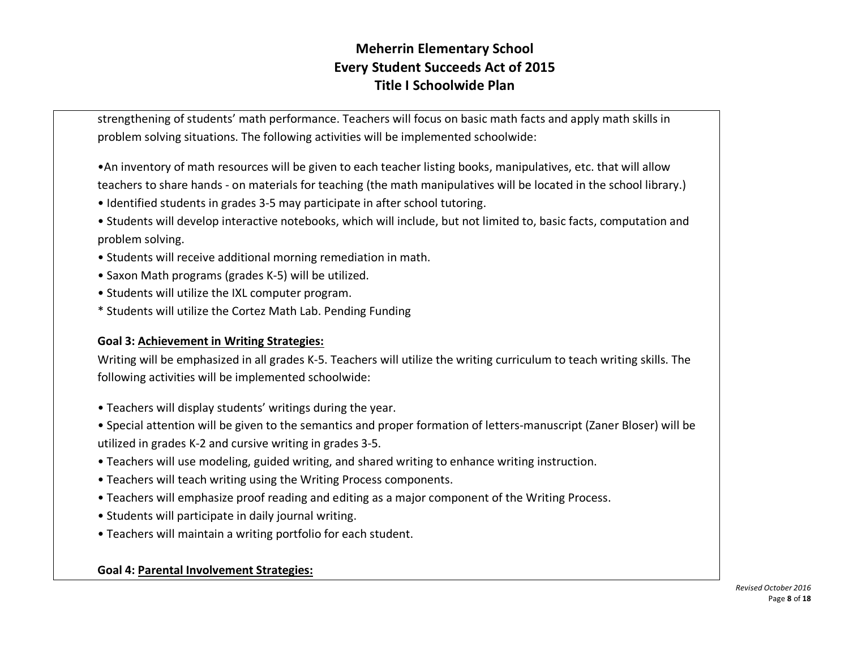strengthening of students' math performance. Teachers will focus on basic math facts and apply math skills in problem solving situations. The following activities will be implemented schoolwide:

- •An inventory of math resources will be given to each teacher listing books, manipulatives, etc. that will allow teachers to share hands - on materials for teaching (the math manipulatives will be located in the school library.)
- Identified students in grades 3-5 may participate in after school tutoring.
- Students will develop interactive notebooks, which will include, but not limited to, basic facts, computation and problem solving.
- Students will receive additional morning remediation in math.
- Saxon Math programs (grades K-5) will be utilized.
- Students will utilize the IXL computer program.
- \* Students will utilize the Cortez Math Lab. Pending Funding

## **Goal 3: Achievement in Writing Strategies:**

Writing will be emphasized in all grades K-5. Teachers will utilize the writing curriculum to teach writing skills. The following activities will be implemented schoolwide:

- Teachers will display students' writings during the year.
- Special attention will be given to the semantics and proper formation of letters-manuscript (Zaner Bloser) will be utilized in grades K-2 and cursive writing in grades 3-5.
- Teachers will use modeling, guided writing, and shared writing to enhance writing instruction.
- Teachers will teach writing using the Writing Process components.
- Teachers will emphasize proof reading and editing as a major component of the Writing Process.
- Students will participate in daily journal writing.
- Teachers will maintain a writing portfolio for each student.

## **Goal 4: Parental Involvement Strategies:**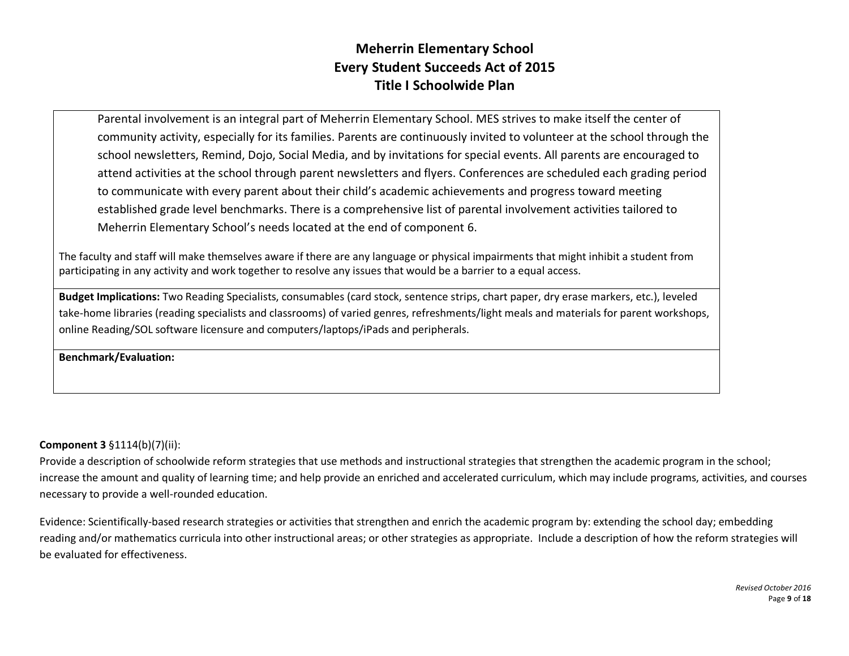Parental involvement is an integral part of Meherrin Elementary School. MES strives to make itself the center of community activity, especially for its families. Parents are continuously invited to volunteer at the school through the school newsletters, Remind, Dojo, Social Media, and by invitations for special events. All parents are encouraged to attend activities at the school through parent newsletters and flyers. Conferences are scheduled each grading period to communicate with every parent about their child's academic achievements and progress toward meeting established grade level benchmarks. There is a comprehensive list of parental involvement activities tailored to Meherrin Elementary School's needs located at the end of component 6.

The faculty and staff will make themselves aware if there are any language or physical impairments that might inhibit a student from participating in any activity and work together to resolve any issues that would be a barrier to a equal access.

**Budget Implications:** Two Reading Specialists, consumables (card stock, sentence strips, chart paper, dry erase markers, etc.), leveled take-home libraries (reading specialists and classrooms) of varied genres, refreshments/light meals and materials for parent workshops, online Reading/SOL software licensure and computers/laptops/iPads and peripherals.

**Benchmark/Evaluation:**

### **Component 3** §1114(b)(7)(ii):

Provide a description of schoolwide reform strategies that use methods and instructional strategies that strengthen the academic program in the school; increase the amount and quality of learning time; and help provide an enriched and accelerated curriculum, which may include programs, activities, and courses necessary to provide a well-rounded education.

Evidence: Scientifically-based research strategies or activities that strengthen and enrich the academic program by: extending the school day; embedding reading and/or mathematics curricula into other instructional areas; or other strategies as appropriate. Include a description of how the reform strategies will be evaluated for effectiveness.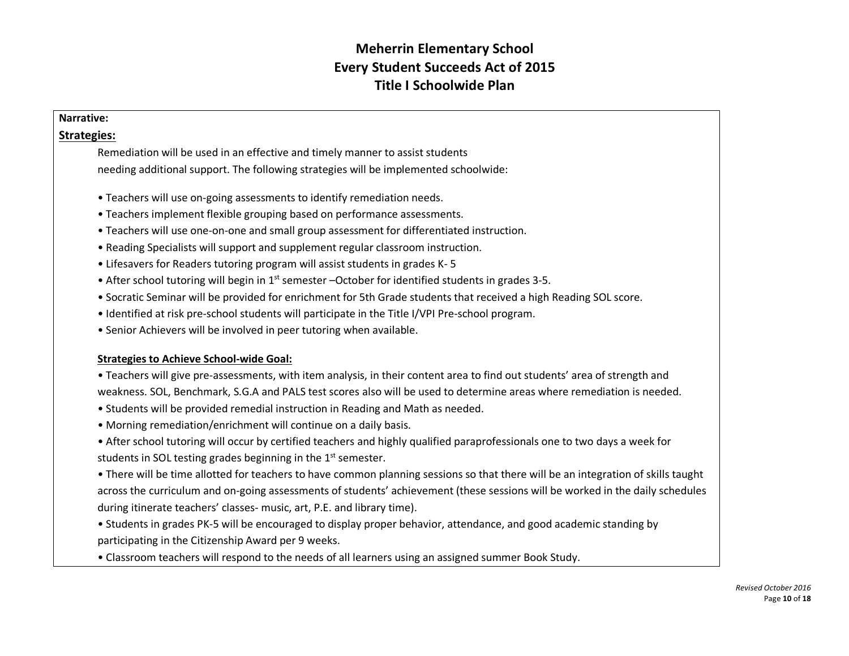#### **Narrative:**

## **Strategies:**

Remediation will be used in an effective and timely manner to assist students needing additional support. The following strategies will be implemented schoolwide:

- Teachers will use on-going assessments to identify remediation needs.
- Teachers implement flexible grouping based on performance assessments.
- Teachers will use one-on-one and small group assessment for differentiated instruction.
- Reading Specialists will support and supplement regular classroom instruction.
- Lifesavers for Readers tutoring program will assist students in grades K- 5
- After school tutoring will begin in  $1<sup>st</sup>$  semester –October for identified students in grades 3-5.
- Socratic Seminar will be provided for enrichment for 5th Grade students that received a high Reading SOL score.
- Identified at risk pre-school students will participate in the Title I/VPI Pre-school program.
- Senior Achievers will be involved in peer tutoring when available.

### **Strategies to Achieve School-wide Goal:**

• Teachers will give pre-assessments, with item analysis, in their content area to find out students' area of strength and weakness. SOL, Benchmark, S.G.A and PALS test scores also will be used to determine areas where remediation is needed.

- Students will be provided remedial instruction in Reading and Math as needed.
- Morning remediation/enrichment will continue on a daily basis.
- After school tutoring will occur by certified teachers and highly qualified paraprofessionals one to two days a week for students in SOL testing grades beginning in the  $1<sup>st</sup>$  semester.

• There will be time allotted for teachers to have common planning sessions so that there will be an integration of skills taught across the curriculum and on-going assessments of students' achievement (these sessions will be worked in the daily schedules during itinerate teachers' classes- music, art, P.E. and library time).

- Students in grades PK-5 will be encouraged to display proper behavior, attendance, and good academic standing by participating in the Citizenship Award per 9 weeks.
- Classroom teachers will respond to the needs of all learners using an assigned summer Book Study.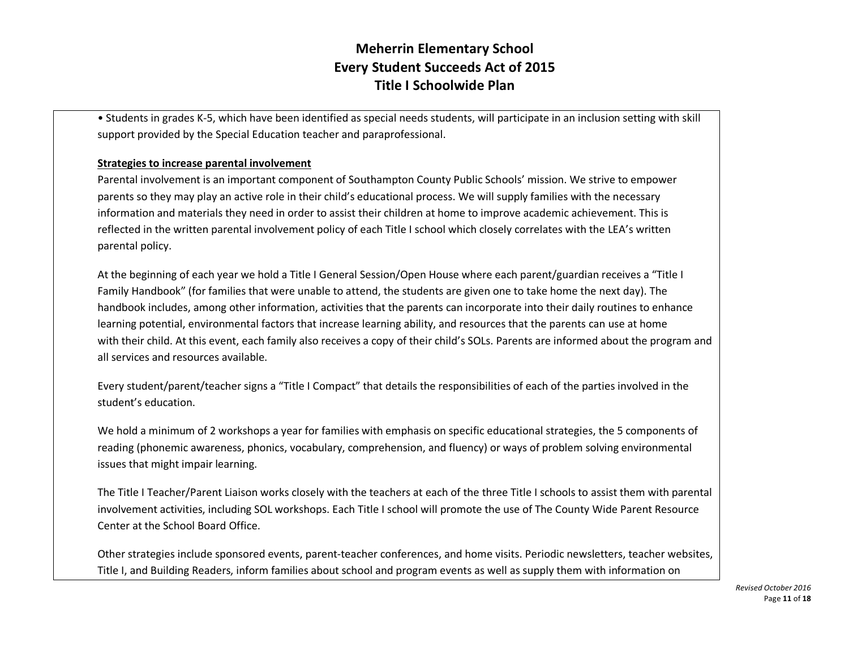• Students in grades K-5, which have been identified as special needs students, will participate in an inclusion setting with skill support provided by the Special Education teacher and paraprofessional.

#### **Strategies to increase parental involvement**

Parental involvement is an important component of Southampton County Public Schools' mission. We strive to empower parents so they may play an active role in their child's educational process. We will supply families with the necessary information and materials they need in order to assist their children at home to improve academic achievement. This is reflected in the written parental involvement policy of each Title I school which closely correlates with the LEA's written parental policy.

At the beginning of each year we hold a Title I General Session/Open House where each parent/guardian receives a "Title I Family Handbook" (for families that were unable to attend, the students are given one to take home the next day). The handbook includes, among other information, activities that the parents can incorporate into their daily routines to enhance learning potential, environmental factors that increase learning ability, and resources that the parents can use at home with their child. At this event, each family also receives a copy of their child's SOLs. Parents are informed about the program and all services and resources available.

Every student/parent/teacher signs a "Title I Compact" that details the responsibilities of each of the parties involved in the student's education.

We hold a minimum of 2 workshops a year for families with emphasis on specific educational strategies, the 5 components of reading (phonemic awareness, phonics, vocabulary, comprehension, and fluency) or ways of problem solving environmental issues that might impair learning.

The Title I Teacher/Parent Liaison works closely with the teachers at each of the three Title I schools to assist them with parental involvement activities, including SOL workshops. Each Title I school will promote the use of The County Wide Parent Resource Center at the School Board Office.

Other strategies include sponsored events, parent-teacher conferences, and home visits. Periodic newsletters, teacher websites, Title I, and Building Readers, inform families about school and program events as well as supply them with information on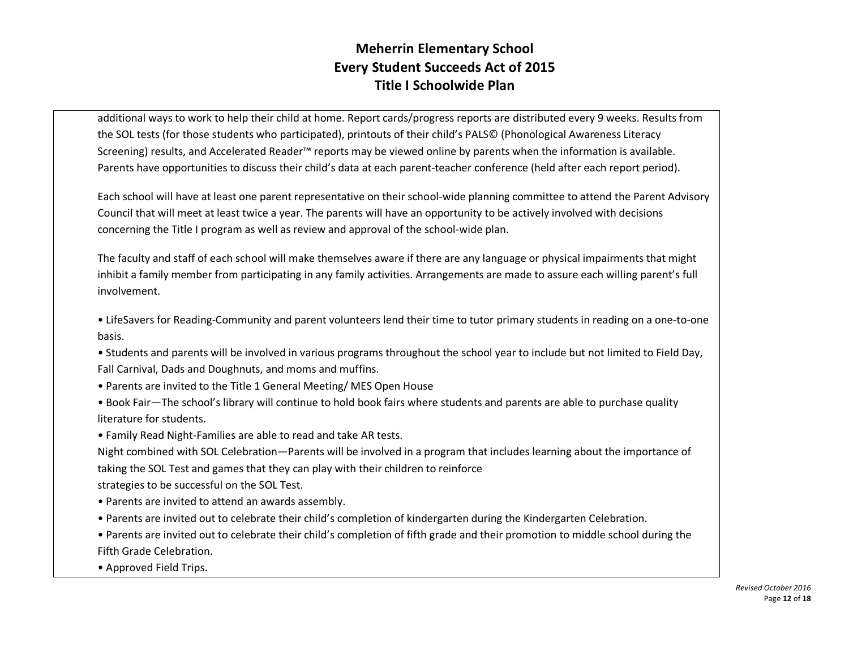additional ways to work to help their child at home. Report cards/progress reports are distributed every 9 weeks. Results from the SOL tests (for those students who participated), printouts of their child's PALS© (Phonological Awareness Literacy Screening) results, and Accelerated Reader™ reports may be viewed online by parents when the information is available. Parents have opportunities to discuss their child's data at each parent-teacher conference (held after each report period).

Each school will have at least one parent representative on their school-wide planning committee to attend the Parent Advisory Council that will meet at least twice a year. The parents will have an opportunity to be actively involved with decisions concerning the Title I program as well as review and approval of the school-wide plan.

The faculty and staff of each school will make themselves aware if there are any language or physical impairments that might inhibit a family member from participating in any family activities. Arrangements are made to assure each willing parent's full involvement.

• LifeSavers for Reading-Community and parent volunteers lend their time to tutor primary students in reading on a one-to-one basis.

• Students and parents will be involved in various programs throughout the school year to include but not limited to Field Day, Fall Carnival, Dads and Doughnuts, and moms and muffins.

- Parents are invited to the Title 1 General Meeting/ MES Open House
- Book Fair—The school's library will continue to hold book fairs where students and parents are able to purchase quality literature for students.
- Family Read Night-Families are able to read and take AR tests.

Night combined with SOL Celebration—Parents will be involved in a program that includes learning about the importance of taking the SOL Test and games that they can play with their children to reinforce strategies to be successful on the SOL Test.

- Parents are invited to attend an awards assembly.
- Parents are invited out to celebrate their child's completion of kindergarten during the Kindergarten Celebration.
- Parents are invited out to celebrate their child's completion of fifth grade and their promotion to middle school during the Fifth Grade Celebration.
- Approved Field Trips.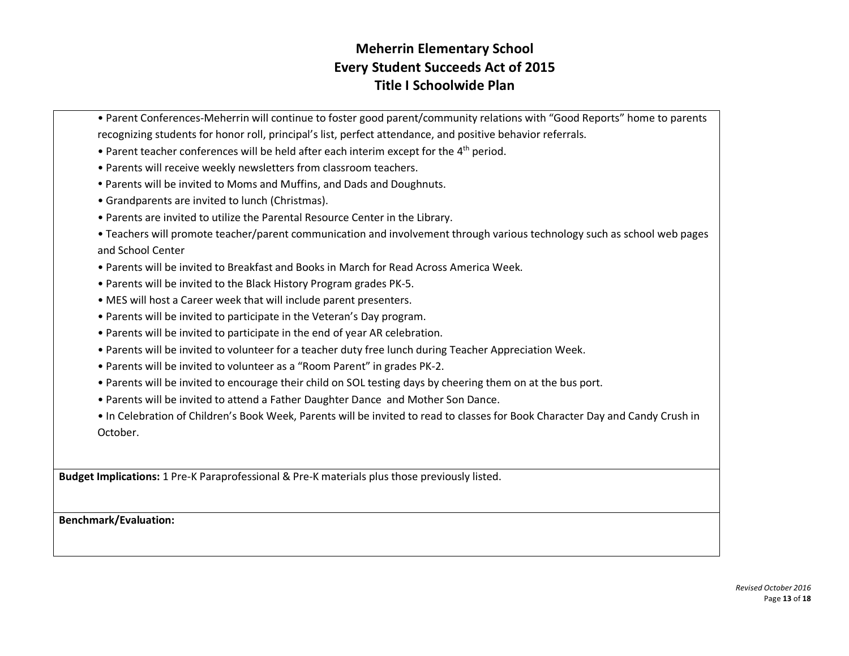- Parent Conferences-Meherrin will continue to foster good parent/community relations with "Good Reports" home to parents recognizing students for honor roll, principal's list, perfect attendance, and positive behavior referrals.
- Parent teacher conferences will be held after each interim except for the 4<sup>th</sup> period.
- Parents will receive weekly newsletters from classroom teachers.
- Parents will be invited to Moms and Muffins, and Dads and Doughnuts.
- Grandparents are invited to lunch (Christmas).
- Parents are invited to utilize the Parental Resource Center in the Library.
- Teachers will promote teacher/parent communication and involvement through various technology such as school web pages and School Center
- Parents will be invited to Breakfast and Books in March for Read Across America Week.
- Parents will be invited to the Black History Program grades PK-5.
- MES will host a Career week that will include parent presenters.
- Parents will be invited to participate in the Veteran's Day program.
- Parents will be invited to participate in the end of year AR celebration.
- Parents will be invited to volunteer for a teacher duty free lunch during Teacher Appreciation Week.
- Parents will be invited to volunteer as a "Room Parent" in grades PK-2.
- Parents will be invited to encourage their child on SOL testing days by cheering them on at the bus port.
- Parents will be invited to attend a Father Daughter Dance and Mother Son Dance.
- In Celebration of Children's Book Week, Parents will be invited to read to classes for Book Character Day and Candy Crush in October.

**Budget Implications:** 1 Pre-K Paraprofessional & Pre-K materials plus those previously listed.

**Benchmark/Evaluation:**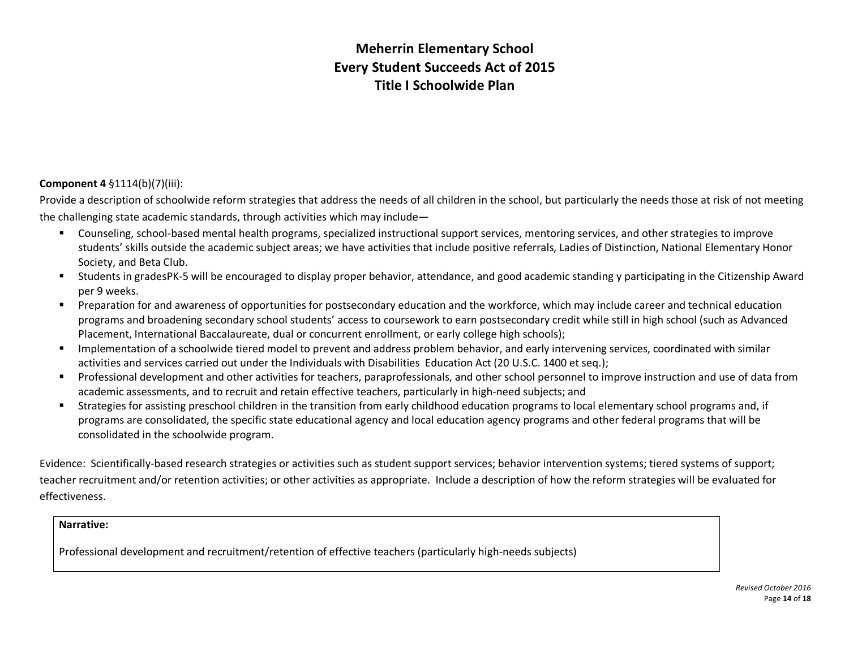### **Component 4** §1114(b)(7)(iii):

Provide a description of schoolwide reform strategies that address the needs of all children in the school, but particularly the needs those at risk of not meeting the challenging state academic standards, through activities which may include—

- § Counseling, school-based mental health programs, specialized instructional support services, mentoring services, and other strategies to improve students' skills outside the academic subject areas; we have activities that include positive referrals, Ladies of Distinction, National Elementary Honor Society, and Beta Club.
- § Students in gradesPK-5 will be encouraged to display proper behavior, attendance, and good academic standing y participating in the Citizenship Award per 9 weeks.
- § Preparation for and awareness of opportunities for postsecondary education and the workforce, which may include career and technical education programs and broadening secondary school students' access to coursework to earn postsecondary credit while still in high school (such as Advanced Placement, International Baccalaureate, dual or concurrent enrollment, or early college high schools);
- Implementation of a schoolwide tiered model to prevent and address problem behavior, and early intervening services, coordinated with similar activities and services carried out under the Individuals with Disabilities Education Act (20 U.S.C. 1400 et seq.);
- § Professional development and other activities for teachers, paraprofessionals, and other school personnel to improve instruction and use of data from academic assessments, and to recruit and retain effective teachers, particularly in high-need subjects; and
- § Strategies for assisting preschool children in the transition from early childhood education programs to local elementary school programs and, if programs are consolidated, the specific state educational agency and local education agency programs and other federal programs that will be consolidated in the schoolwide program.

Evidence: Scientifically-based research strategies or activities such as student support services; behavior intervention systems; tiered systems of support; teacher recruitment and/or retention activities; or other activities as appropriate. Include a description of how the reform strategies will be evaluated for effectiveness.

#### **Narrative:**

Professional development and recruitment/retention of effective teachers (particularly high-needs subjects)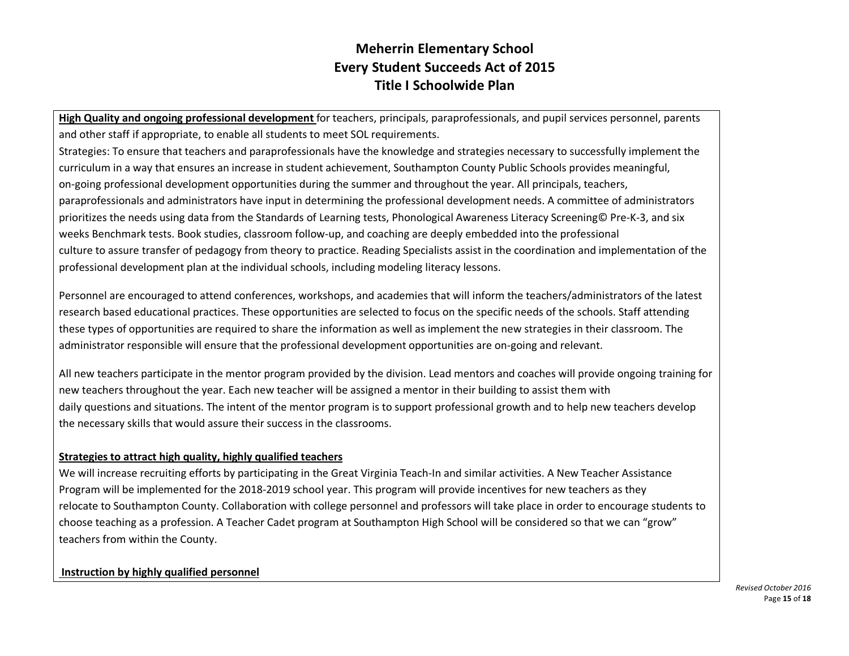**High Quality and ongoing professional development** for teachers, principals, paraprofessionals, and pupil services personnel, parents and other staff if appropriate, to enable all students to meet SOL requirements.

Strategies: To ensure that teachers and paraprofessionals have the knowledge and strategies necessary to successfully implement the curriculum in a way that ensures an increase in student achievement, Southampton County Public Schools provides meaningful, on-going professional development opportunities during the summer and throughout the year. All principals, teachers, paraprofessionals and administrators have input in determining the professional development needs. A committee of administrators prioritizes the needs using data from the Standards of Learning tests, Phonological Awareness Literacy Screening© Pre-K-3, and six weeks Benchmark tests. Book studies, classroom follow-up, and coaching are deeply embedded into the professional culture to assure transfer of pedagogy from theory to practice. Reading Specialists assist in the coordination and implementation of the professional development plan at the individual schools, including modeling literacy lessons.

Personnel are encouraged to attend conferences, workshops, and academies that will inform the teachers/administrators of the latest research based educational practices. These opportunities are selected to focus on the specific needs of the schools. Staff attending these types of opportunities are required to share the information as well as implement the new strategies in their classroom. The administrator responsible will ensure that the professional development opportunities are on-going and relevant.

All new teachers participate in the mentor program provided by the division. Lead mentors and coaches will provide ongoing training for new teachers throughout the year. Each new teacher will be assigned a mentor in their building to assist them with daily questions and situations. The intent of the mentor program is to support professional growth and to help new teachers develop the necessary skills that would assure their success in the classrooms.

### **Strategies to attract high quality, highly qualified teachers**

We will increase recruiting efforts by participating in the Great Virginia Teach-In and similar activities. A New Teacher Assistance Program will be implemented for the 2018-2019 school year. This program will provide incentives for new teachers as they relocate to Southampton County. Collaboration with college personnel and professors will take place in order to encourage students to choose teaching as a profession. A Teacher Cadet program at Southampton High School will be considered so that we can "grow" teachers from within the County.

### **Instruction by highly qualified personnel**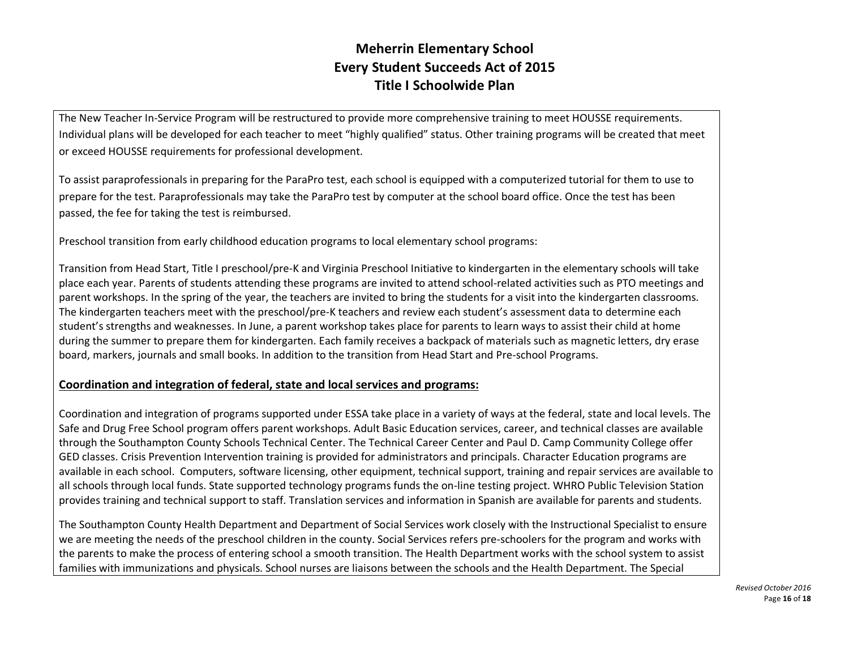The New Teacher In-Service Program will be restructured to provide more comprehensive training to meet HOUSSE requirements. Individual plans will be developed for each teacher to meet "highly qualified" status. Other training programs will be created that meet or exceed HOUSSE requirements for professional development.

To assist paraprofessionals in preparing for the ParaPro test, each school is equipped with a computerized tutorial for them to use to prepare for the test. Paraprofessionals may take the ParaPro test by computer at the school board office. Once the test has been passed, the fee for taking the test is reimbursed.

Preschool transition from early childhood education programs to local elementary school programs:

Transition from Head Start, Title I preschool/pre-K and Virginia Preschool Initiative to kindergarten in the elementary schools will take place each year. Parents of students attending these programs are invited to attend school-related activities such as PTO meetings and parent workshops. In the spring of the year, the teachers are invited to bring the students for a visit into the kindergarten classrooms. The kindergarten teachers meet with the preschool/pre-K teachers and review each student's assessment data to determine each student's strengths and weaknesses. In June, a parent workshop takes place for parents to learn ways to assist their child at home during the summer to prepare them for kindergarten. Each family receives a backpack of materials such as magnetic letters, dry erase board, markers, journals and small books. In addition to the transition from Head Start and Pre-school Programs.

## **Coordination and integration of federal, state and local services and programs:**

Coordination and integration of programs supported under ESSA take place in a variety of ways at the federal, state and local levels. The Safe and Drug Free School program offers parent workshops. Adult Basic Education services, career, and technical classes are available through the Southampton County Schools Technical Center. The Technical Career Center and Paul D. Camp Community College offer GED classes. Crisis Prevention Intervention training is provided for administrators and principals. Character Education programs are available in each school. Computers, software licensing, other equipment, technical support, training and repair services are available to all schools through local funds. State supported technology programs funds the on-line testing project. WHRO Public Television Station provides training and technical support to staff. Translation services and information in Spanish are available for parents and students.

The Southampton County Health Department and Department of Social Services work closely with the Instructional Specialist to ensure we are meeting the needs of the preschool children in the county. Social Services refers pre-schoolers for the program and works with the parents to make the process of entering school a smooth transition. The Health Department works with the school system to assist families with immunizations and physicals. School nurses are liaisons between the schools and the Health Department. The Special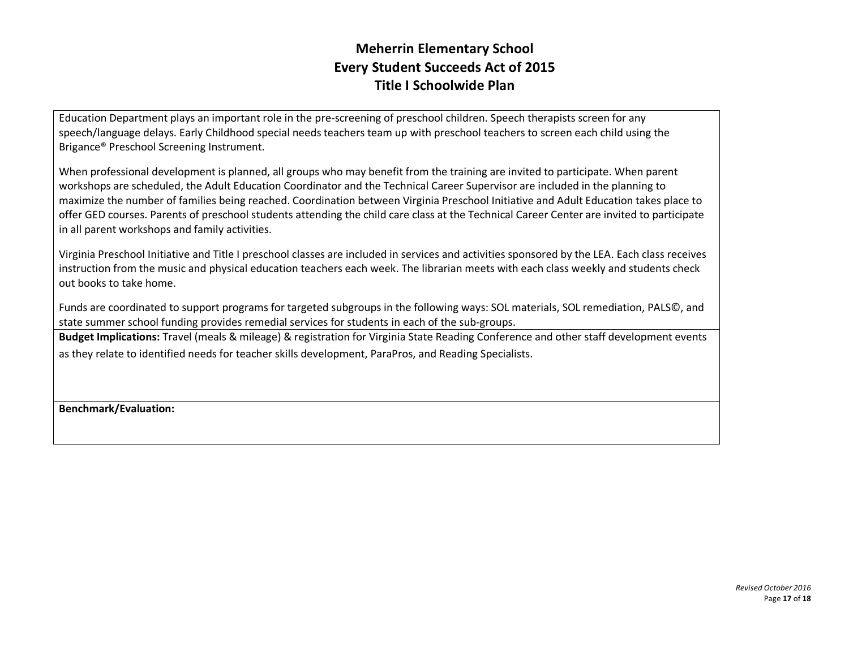Education Department plays an important role in the pre-screening of preschool children. Speech therapists screen for any speech/language delays. Early Childhood special needs teachers team up with preschool teachers to screen each child using the Brigance® Preschool Screening Instrument.

When professional development is planned, all groups who may benefit from the training are invited to participate. When parent workshops are scheduled, the Adult Education Coordinator and the Technical Career Supervisor are included in the planning to maximize the number of families being reached. Coordination between Virginia Preschool Initiative and Adult Education takes place to offer GED courses. Parents of preschool students attending the child care class at the Technical Career Center are invited to participate in all parent workshops and family activities.

Virginia Preschool Initiative and Title I preschool classes are included in services and activities sponsored by the LEA. Each class receives instruction from the music and physical education teachers each week. The librarian meets with each class weekly and students check out books to take home.

Funds are coordinated to support programs for targeted subgroups in the following ways: SOL materials, SOL remediation, PALS©, and state summer school funding provides remedial services for students in each of the sub-groups.

**Budget Implications:** Travel (meals & mileage) & registration for Virginia State Reading Conference and other staff development events as they relate to identified needs for teacher skills development, ParaPros, and Reading Specialists.

**Benchmark/Evaluation:**